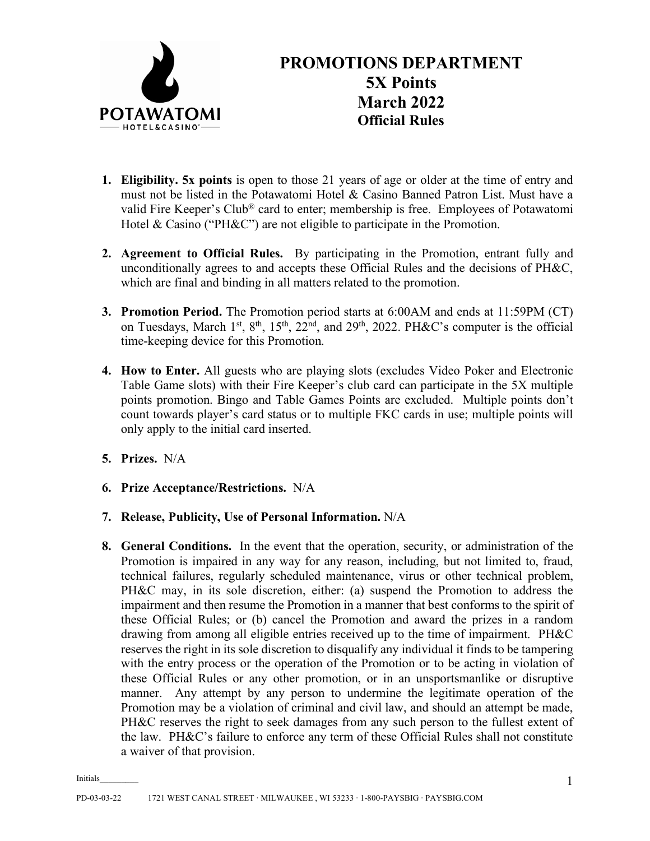

- **1. Eligibility. 5x points** is open to those 21 years of age or older at the time of entry and must not be listed in the Potawatomi Hotel & Casino Banned Patron List. Must have a valid Fire Keeper's Club® card to enter; membership is free. Employees of Potawatomi Hotel & Casino ("PH&C") are not eligible to participate in the Promotion.
- **2. Agreement to Official Rules.** By participating in the Promotion, entrant fully and unconditionally agrees to and accepts these Official Rules and the decisions of PH&C, which are final and binding in all matters related to the promotion.
- **3. Promotion Period.** The Promotion period starts at 6:00AM and ends at 11:59PM (CT) on Tuesdays, March 1st, 8<sup>th</sup>, 15<sup>th</sup>, 22<sup>nd</sup>, and 29<sup>th</sup>, 2022. PH&C's computer is the official time-keeping device for this Promotion.
- **4. How to Enter.** All guests who are playing slots (excludes Video Poker and Electronic Table Game slots) with their Fire Keeper's club card can participate in the 5X multiple points promotion. Bingo and Table Games Points are excluded. Multiple points don't count towards player's card status or to multiple FKC cards in use; multiple points will only apply to the initial card inserted.
- **5. Prizes.** N/A
- **6. Prize Acceptance/Restrictions.** N/A
- **7. Release, Publicity, Use of Personal Information.** N/A
- **8. General Conditions.** In the event that the operation, security, or administration of the Promotion is impaired in any way for any reason, including, but not limited to, fraud, technical failures, regularly scheduled maintenance, virus or other technical problem, PH&C may, in its sole discretion, either: (a) suspend the Promotion to address the impairment and then resume the Promotion in a manner that best conforms to the spirit of these Official Rules; or (b) cancel the Promotion and award the prizes in a random drawing from among all eligible entries received up to the time of impairment. PH&C reserves the right in its sole discretion to disqualify any individual it finds to be tampering with the entry process or the operation of the Promotion or to be acting in violation of these Official Rules or any other promotion, or in an unsportsmanlike or disruptive manner. Any attempt by any person to undermine the legitimate operation of the Promotion may be a violation of criminal and civil law, and should an attempt be made, PH&C reserves the right to seek damages from any such person to the fullest extent of the law. PH&C's failure to enforce any term of these Official Rules shall not constitute a waiver of that provision.

Initials\_\_\_\_\_\_\_\_\_